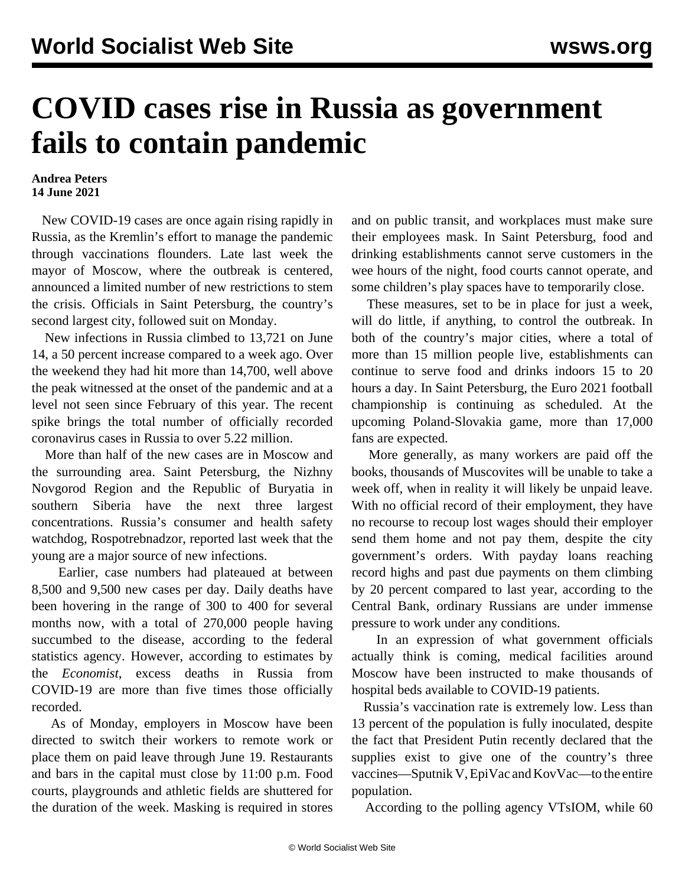## **COVID cases rise in Russia as government fails to contain pandemic**

## **Andrea Peters 14 June 2021**

 New COVID-19 cases are once again rising rapidly in Russia, as the Kremlin's effort to manage the pandemic through vaccinations flounders. Late last week the mayor of Moscow, where the outbreak is centered, announced a limited number of new restrictions to stem the crisis. Officials in Saint Petersburg, the country's second largest city, followed suit on Monday.

 New infections in Russia climbed to 13,721 on June 14, a 50 percent increase compared to a week ago. Over the weekend they had hit more than 14,700, well above the peak witnessed at the onset of the pandemic and at a level not seen since February of this year. The recent spike brings the total number of officially recorded coronavirus cases in Russia to over 5.22 million.

 More than half of the new cases are in Moscow and the surrounding area. Saint Petersburg, the Nizhny Novgorod Region and the Republic of Buryatia in southern Siberia have the next three largest concentrations. Russia's consumer and health safety watchdog, Rospotrebnadzor, reported last week that the young are a major source of new infections.

 Earlier, case numbers had plateaued at between 8,500 and 9,500 new cases per day. Daily deaths have been hovering in the range of 300 to 400 for several months now, with a total of 270,000 people having succumbed to the disease, according to the federal statistics agency. However, according to estimates by the *Economist*, [excess deaths in Russia](/en/articles/2021/05/20/econ-m20.html) from COVID-19 are more than five times those officially recorded.

 As of Monday, employers in Moscow have been directed to switch their workers to remote work or place them on paid leave through June 19. Restaurants and bars in the capital must close by 11:00 p.m. Food courts, playgrounds and athletic fields are shuttered for the duration of the week. Masking is required in stores and on public transit, and workplaces must make sure their employees mask. In Saint Petersburg, food and drinking establishments cannot serve customers in the wee hours of the night, food courts cannot operate, and some children's play spaces have to temporarily close.

 These measures, set to be in place for just a week, will do little, if anything, to control the outbreak. In both of the country's major cities, where a total of more than 15 million people live, establishments can continue to serve food and drinks indoors 15 to 20 hours a day. In Saint Petersburg, the Euro 2021 football championship is continuing as scheduled. At the upcoming Poland-Slovakia game, more than 17,000 fans are expected.

 More generally, as many workers are paid off the books, thousands of Muscovites will be unable to take a week off, when in reality it will likely be unpaid leave. With no official record of their employment, they have no recourse to recoup lost wages should their employer send them home and not pay them, despite the city government's orders. With payday loans reaching record highs and past due payments on them climbing by 20 percent compared to last year, according to the Central Bank, ordinary Russians are under immense pressure to work under any conditions.

 In an expression of what government officials actually think is coming, medical facilities around Moscow have been instructed to make thousands of hospital beds available to COVID-19 patients.

 Russia's vaccination rate is extremely low. Less than 13 percent of the population is fully inoculated, despite the fact that President Putin recently declared that the supplies exist to give one of the country's three vaccines—Sputnik V, EpiVac and KovVac—to the entire population.

According to the polling agency VTsIOM, while 60